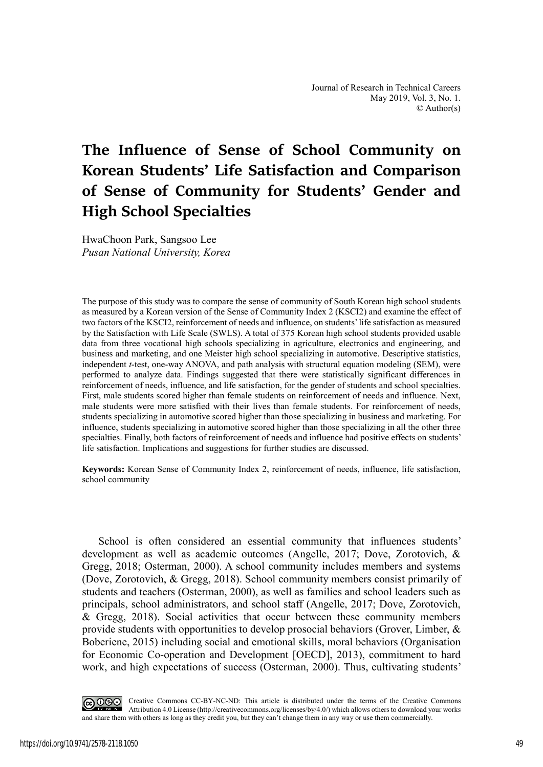# **The Influence of Sense of School Community on Korean Students' Life Satisfaction and Comparison of Sense of Community for Students' Gender and High School Specialties**

HwaChoon Park, Sangsoo Lee *Pusan National University, Korea* 

The purpose of this study was to compare the sense of community of South Korean high school students as measured by a Korean version of the Sense of Community Index 2 (KSCI2) and examine the effect of two factors of the KSCI2, reinforcement of needs and influence, on students' life satisfaction as measured by the Satisfaction with Life Scale (SWLS). A total of 375 Korean high school students provided usable data from three vocational high schools specializing in agriculture, electronics and engineering, and business and marketing, and one Meister high school specializing in automotive. Descriptive statistics, independent *t*-test, one-way ANOVA, and path analysis with structural equation modeling (SEM), were performed to analyze data. Findings suggested that there were statistically significant differences in reinforcement of needs, influence, and life satisfaction, for the gender of students and school specialties. First, male students scored higher than female students on reinforcement of needs and influence. Next, male students were more satisfied with their lives than female students. For reinforcement of needs, students specializing in automotive scored higher than those specializing in business and marketing. For influence, students specializing in automotive scored higher than those specializing in all the other three specialties. Finally, both factors of reinforcement of needs and influence had positive effects on students' life satisfaction. Implications and suggestions for further studies are discussed.

**Keywords:** Korean Sense of Community Index 2, reinforcement of needs, influence, life satisfaction, school community

School is often considered an essential community that influences students' development as well as academic outcomes (Angelle, 2017; Dove, Zorotovich, & Gregg, 2018; Osterman, 2000). A school community includes members and systems (Dove, Zorotovich, & Gregg, 2018). School community members consist primarily of students and teachers (Osterman, 2000), as well as families and school leaders such as principals, school administrators, and school staff (Angelle, 2017; Dove, Zorotovich, & Gregg, 2018). Social activities that occur between these community members provide students with opportunities to develop prosocial behaviors (Grover, Limber, & Boberiene, 2015) including social and emotional skills, moral behaviors (Organisation for Economic Co-operation and Development [OECD], 2013), commitment to hard work, and high expectations of success (Osterman, 2000). Thus, cultivating students'

COOC Creative Commons CC-BY-NC-ND: This article is distributed under the terms of the Creative Commons Article is distributed under the terms of the Creative Commons Attribution 4.0 License (http://creativecommons.org/licenses/by/4.0/) which allows others to download your works and share them with others as long as they credit you, but they can't change them in any way or use them commercially.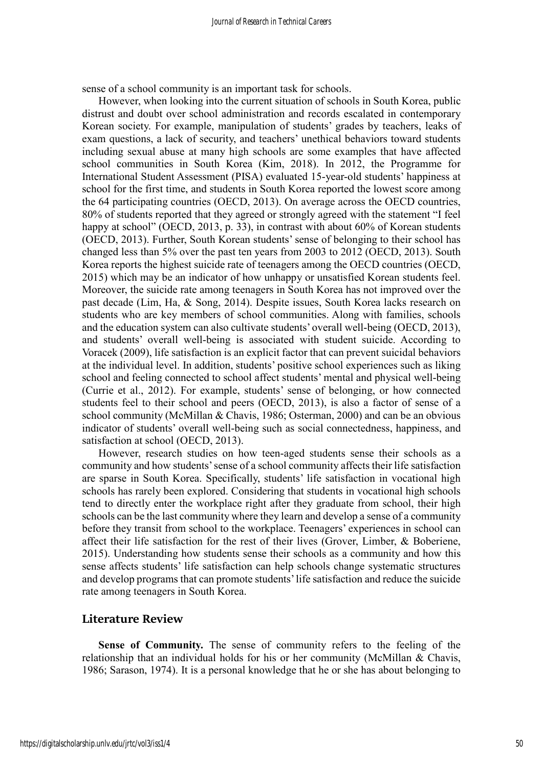sense of a school community is an important task for schools.

However, when looking into the current situation of schools in South Korea, public distrust and doubt over school administration and records escalated in contemporary Korean society. For example, manipulation of students' grades by teachers, leaks of exam questions, a lack of security, and teachers' unethical behaviors toward students including sexual abuse at many high schools are some examples that have affected school communities in South Korea (Kim, 2018). In 2012, the Programme for International Student Assessment (PISA) evaluated 15-year-old students' happiness at school for the first time, and students in South Korea reported the lowest score among the 64 participating countries (OECD, 2013). On average across the OECD countries, 80% of students reported that they agreed or strongly agreed with the statement "I feel happy at school" (OECD, 2013, p. 33), in contrast with about 60% of Korean students (OECD, 2013). Further, South Korean students' sense of belonging to their school has changed less than 5% over the past ten years from 2003 to 2012 (OECD, 2013). South Korea reports the highest suicide rate of teenagers among the OECD countries (OECD, 2015) which may be an indicator of how unhappy or unsatisfied Korean students feel. Moreover, the suicide rate among teenagers in South Korea has not improved over the past decade (Lim, Ha, & Song, 2014). Despite issues, South Korea lacks research on students who are key members of school communities. Along with families, schools and the education system can also cultivate students' overall well-being (OECD, 2013), and students' overall well-being is associated with student suicide. According to Voracek (2009), life satisfaction is an explicit factor that can prevent suicidal behaviors at the individual level. In addition, students' positive school experiences such as liking school and feeling connected to school affect students' mental and physical well-being (Currie et al., 2012). For example, students' sense of belonging, or how connected students feel to their school and peers (OECD, 2013), is also a factor of sense of a school community (McMillan & Chavis, 1986; Osterman, 2000) and can be an obvious indicator of students' overall well-being such as social connectedness, happiness, and satisfaction at school (OECD, 2013).

However, research studies on how teen-aged students sense their schools as a community and how students' sense of a school community affects their life satisfaction are sparse in South Korea. Specifically, students' life satisfaction in vocational high schools has rarely been explored. Considering that students in vocational high schools tend to directly enter the workplace right after they graduate from school, their high schools can be the last community where they learn and develop a sense of a community before they transit from school to the workplace. Teenagers' experiences in school can affect their life satisfaction for the rest of their lives (Grover, Limber, & Boberiene, 2015). Understanding how students sense their schools as a community and how this sense affects students' life satisfaction can help schools change systematic structures and develop programs that can promote students' life satisfaction and reduce the suicide rate among teenagers in South Korea.

# **Literature Review**

**Sense of Community.** The sense of community refers to the feeling of the relationship that an individual holds for his or her community (McMillan & Chavis, 1986; Sarason, 1974). It is a personal knowledge that he or she has about belonging to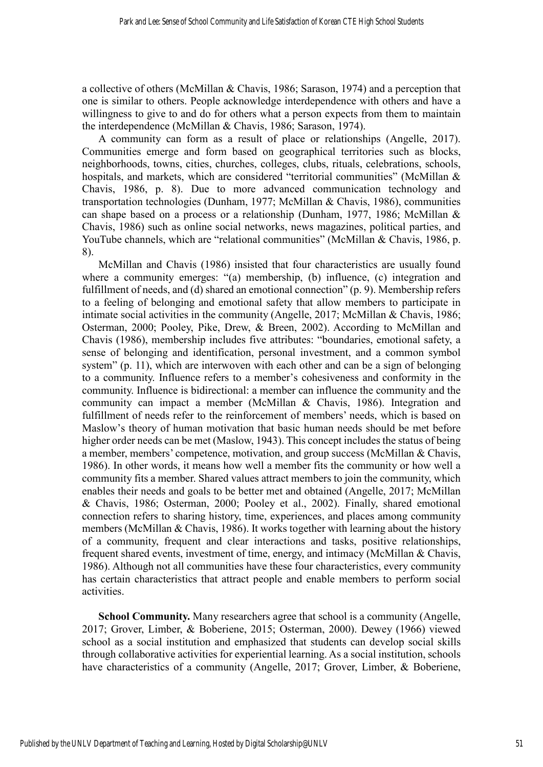a collective of others (McMillan & Chavis, 1986; Sarason, 1974) and a perception that one is similar to others. People acknowledge interdependence with others and have a willingness to give to and do for others what a person expects from them to maintain the interdependence (McMillan & Chavis, 1986; Sarason, 1974).

A community can form as a result of place or relationships (Angelle, 2017). Communities emerge and form based on geographical territories such as blocks, neighborhoods, towns, cities, churches, colleges, clubs, rituals, celebrations, schools, hospitals, and markets, which are considered "territorial communities" (McMillan & Chavis, 1986, p. 8). Due to more advanced communication technology and transportation technologies (Dunham, 1977; McMillan & Chavis, 1986), communities can shape based on a process or a relationship (Dunham, 1977, 1986; McMillan & Chavis, 1986) such as online social networks, news magazines, political parties, and YouTube channels, which are "relational communities" (McMillan & Chavis, 1986, p. 8).

McMillan and Chavis (1986) insisted that four characteristics are usually found where a community emerges: "(a) membership, (b) influence, (c) integration and fulfillment of needs, and (d) shared an emotional connection" (p. 9). Membership refers to a feeling of belonging and emotional safety that allow members to participate in intimate social activities in the community (Angelle, 2017; McMillan & Chavis, 1986; Osterman, 2000; Pooley, Pike, Drew, & Breen, 2002). According to McMillan and Chavis (1986), membership includes five attributes: "boundaries, emotional safety, a sense of belonging and identification, personal investment, and a common symbol system" (p. 11), which are interwoven with each other and can be a sign of belonging to a community. Influence refers to a member's cohesiveness and conformity in the community. Influence is bidirectional: a member can influence the community and the community can impact a member (McMillan & Chavis, 1986). Integration and fulfillment of needs refer to the reinforcement of members' needs, which is based on Maslow's theory of human motivation that basic human needs should be met before higher order needs can be met (Maslow, 1943). This concept includes the status of being a member, members' competence, motivation, and group success (McMillan & Chavis, 1986). In other words, it means how well a member fits the community or how well a community fits a member. Shared values attract members to join the community, which enables their needs and goals to be better met and obtained (Angelle, 2017; McMillan & Chavis, 1986; Osterman, 2000; Pooley et al., 2002). Finally, shared emotional connection refers to sharing history, time, experiences, and places among community members (McMillan & Chavis, 1986). It works together with learning about the history of a community, frequent and clear interactions and tasks, positive relationships, frequent shared events, investment of time, energy, and intimacy (McMillan & Chavis, 1986). Although not all communities have these four characteristics, every community has certain characteristics that attract people and enable members to perform social activities.

**School Community.** Many researchers agree that school is a community (Angelle, 2017; Grover, Limber, & Boberiene, 2015; Osterman, 2000). Dewey (1966) viewed school as a social institution and emphasized that students can develop social skills through collaborative activities for experiential learning. As a social institution, schools have characteristics of a community (Angelle, 2017; Grover, Limber, & Boberiene,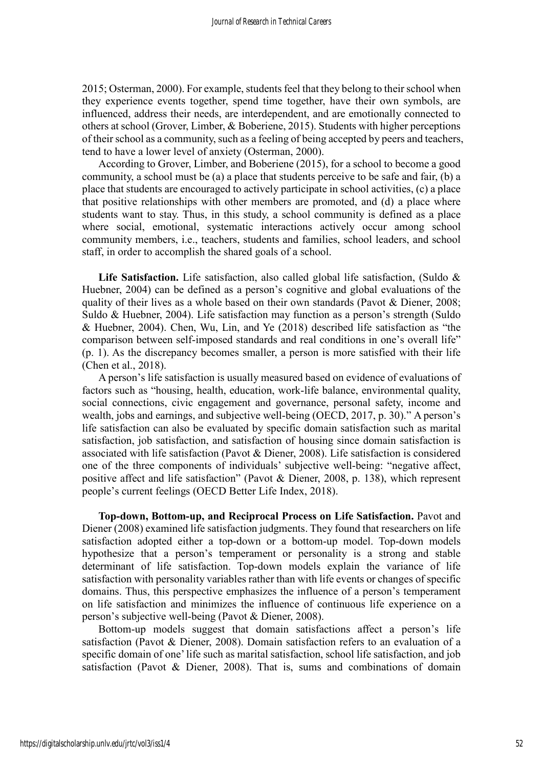2015; Osterman, 2000). For example, students feel that they belong to their school when they experience events together, spend time together, have their own symbols, are influenced, address their needs, are interdependent, and are emotionally connected to others at school (Grover, Limber, & Boberiene, 2015). Students with higher perceptions of their school as a community, such as a feeling of being accepted by peers and teachers, tend to have a lower level of anxiety (Osterman, 2000).

According to Grover, Limber, and Boberiene (2015), for a school to become a good community, a school must be (a) a place that students perceive to be safe and fair, (b) a place that students are encouraged to actively participate in school activities, (c) a place that positive relationships with other members are promoted, and (d) a place where students want to stay. Thus, in this study, a school community is defined as a place where social, emotional, systematic interactions actively occur among school community members, i.e., teachers, students and families, school leaders, and school staff, in order to accomplish the shared goals of a school.

Life Satisfaction. Life satisfaction, also called global life satisfaction, (Suldo & Huebner, 2004) can be defined as a person's cognitive and global evaluations of the quality of their lives as a whole based on their own standards (Pavot & Diener, 2008; Suldo & Huebner, 2004). Life satisfaction may function as a person's strength (Suldo & Huebner, 2004). Chen, Wu, Lin, and Ye (2018) described life satisfaction as "the comparison between self-imposed standards and real conditions in one's overall life" (p. 1). As the discrepancy becomes smaller, a person is more satisfied with their life (Chen et al., 2018).

A person's life satisfaction is usually measured based on evidence of evaluations of factors such as "housing, health, education, work-life balance, environmental quality, social connections, civic engagement and governance, personal safety, income and wealth, jobs and earnings, and subjective well-being (OECD, 2017, p. 30)." A person's life satisfaction can also be evaluated by specific domain satisfaction such as marital satisfaction, job satisfaction, and satisfaction of housing since domain satisfaction is associated with life satisfaction (Pavot & Diener, 2008). Life satisfaction is considered one of the three components of individuals' subjective well-being: "negative affect, positive affect and life satisfaction" (Pavot & Diener, 2008, p. 138), which represent people's current feelings (OECD Better Life Index, 2018).

**Top-down, Bottom-up, and Reciprocal Process on Life Satisfaction.** Pavot and Diener (2008) examined life satisfaction judgments. They found that researchers on life satisfaction adopted either a top-down or a bottom-up model. Top-down models hypothesize that a person's temperament or personality is a strong and stable determinant of life satisfaction. Top-down models explain the variance of life satisfaction with personality variables rather than with life events or changes of specific domains. Thus, this perspective emphasizes the influence of a person's temperament on life satisfaction and minimizes the influence of continuous life experience on a person's subjective well-being (Pavot & Diener, 2008).

Bottom-up models suggest that domain satisfactions affect a person's life satisfaction (Pavot & Diener, 2008). Domain satisfaction refers to an evaluation of a specific domain of one' life such as marital satisfaction, school life satisfaction, and job satisfaction (Pavot & Diener, 2008). That is, sums and combinations of domain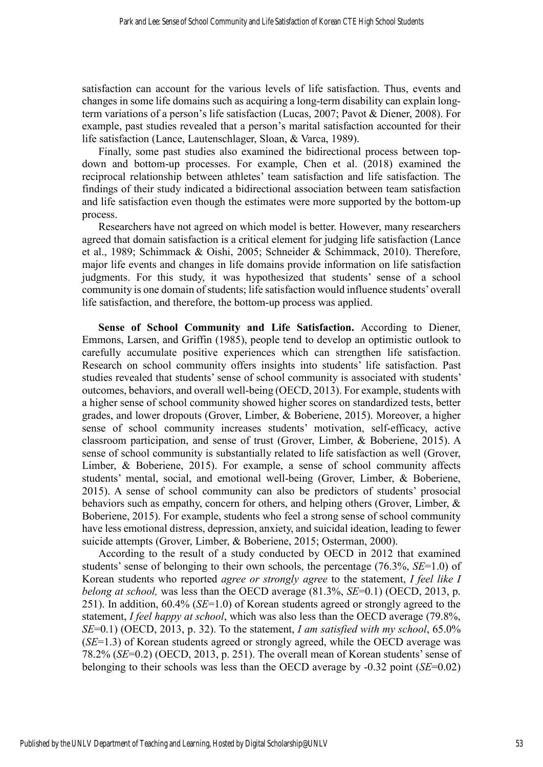satisfaction can account for the various levels of life satisfaction. Thus, events and changes in some life domains such as acquiring a long-term disability can explain longterm variations of a person's life satisfaction (Lucas, 2007; Pavot & Diener, 2008). For example, past studies revealed that a person's marital satisfaction accounted for their life satisfaction (Lance, Lautenschlager, Sloan, & Varca, 1989).

Finally, some past studies also examined the bidirectional process between topdown and bottom-up processes. For example, Chen et al. (2018) examined the reciprocal relationship between athletes' team satisfaction and life satisfaction. The findings of their study indicated a bidirectional association between team satisfaction and life satisfaction even though the estimates were more supported by the bottom-up process.

Researchers have not agreed on which model is better. However, many researchers agreed that domain satisfaction is a critical element for judging life satisfaction (Lance et al., 1989; Schimmack & Oishi, 2005; Schneider & Schimmack, 2010). Therefore, major life events and changes in life domains provide information on life satisfaction judgments. For this study, it was hypothesized that students' sense of a school community is one domain of students; life satisfaction would influence students' overall life satisfaction, and therefore, the bottom-up process was applied.

**Sense of School Community and Life Satisfaction.** According to Diener, Emmons, Larsen, and Griffin (1985), people tend to develop an optimistic outlook to carefully accumulate positive experiences which can strengthen life satisfaction. Research on school community offers insights into students' life satisfaction. Past studies revealed that students' sense of school community is associated with students' outcomes, behaviors, and overall well-being (OECD, 2013). For example, students with a higher sense of school community showed higher scores on standardized tests, better grades, and lower dropouts (Grover, Limber, & Boberiene, 2015). Moreover, a higher sense of school community increases students' motivation, self-efficacy, active classroom participation, and sense of trust (Grover, Limber, & Boberiene, 2015). A sense of school community is substantially related to life satisfaction as well (Grover, Limber, & Boberiene, 2015). For example, a sense of school community affects students' mental, social, and emotional well-being (Grover, Limber, & Boberiene, 2015). A sense of school community can also be predictors of students' prosocial behaviors such as empathy, concern for others, and helping others (Grover, Limber, & Boberiene, 2015). For example, students who feel a strong sense of school community have less emotional distress, depression, anxiety, and suicidal ideation, leading to fewer suicide attempts (Grover, Limber, & Boberiene, 2015; Osterman, 2000).

According to the result of a study conducted by OECD in 2012 that examined students' sense of belonging to their own schools, the percentage (76.3%, *SE*=1.0) of Korean students who reported *agree or strongly agree* to the statement, *I feel like I belong at school,* was less than the OECD average (81.3%, *SE*=0.1) (OECD, 2013, p. 251). In addition, 60.4% (*SE*=1.0) of Korean students agreed or strongly agreed to the statement, *I feel happy at school*, which was also less than the OECD average (79.8%, *SE*=0.1) (OECD, 2013, p. 32). To the statement, *I am satisfied with my school*, 65.0% (*SE*=1.3) of Korean students agreed or strongly agreed, while the OECD average was 78.2% (*SE*=0.2) (OECD, 2013, p. 251). The overall mean of Korean students' sense of belonging to their schools was less than the OECD average by -0.32 point (*SE*=0.02)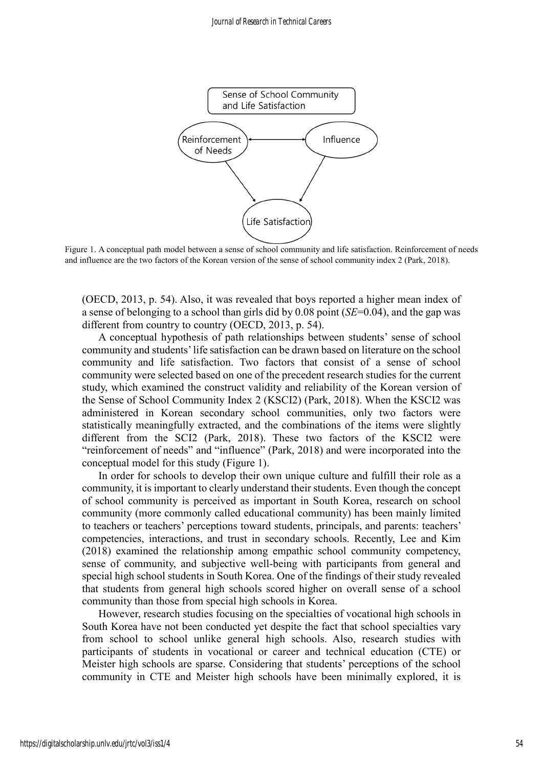

Figure 1. A conceptual path model between a sense of school community and life satisfaction. Reinforcement of needs and influence are the two factors of the Korean version of the sense of school community index 2 (Park, 2018).

(OECD, 2013, p. 54). Also, it was revealed that boys reported a higher mean index of a sense of belonging to a school than girls did by 0.08 point (*SE*=0.04), and the gap was different from country to country (OECD, 2013, p. 54).

A conceptual hypothesis of path relationships between students' sense of school community and students' life satisfaction can be drawn based on literature on the school community and life satisfaction. Two factors that consist of a sense of school community were selected based on one of the precedent research studies for the current study, which examined the construct validity and reliability of the Korean version of the Sense of School Community Index 2 (KSCI2) (Park, 2018). When the KSCI2 was administered in Korean secondary school communities, only two factors were statistically meaningfully extracted, and the combinations of the items were slightly different from the SCI2 (Park, 2018). These two factors of the KSCI2 were "reinforcement of needs" and "influence" (Park, 2018) and were incorporated into the conceptual model for this study (Figure 1).

In order for schools to develop their own unique culture and fulfill their role as a community, it is important to clearly understand their students. Even though the concept of school community is perceived as important in South Korea, research on school community (more commonly called educational community) has been mainly limited to teachers or teachers' perceptions toward students, principals, and parents: teachers' competencies, interactions, and trust in secondary schools. Recently, Lee and Kim (2018) examined the relationship among empathic school community competency, sense of community, and subjective well-being with participants from general and special high school students in South Korea. One of the findings of their study revealed that students from general high schools scored higher on overall sense of a school community than those from special high schools in Korea.

However, research studies focusing on the specialties of vocational high schools in South Korea have not been conducted yet despite the fact that school specialties vary from school to school unlike general high schools. Also, research studies with participants of students in vocational or career and technical education (CTE) or Meister high schools are sparse. Considering that students' perceptions of the school community in CTE and Meister high schools have been minimally explored, it is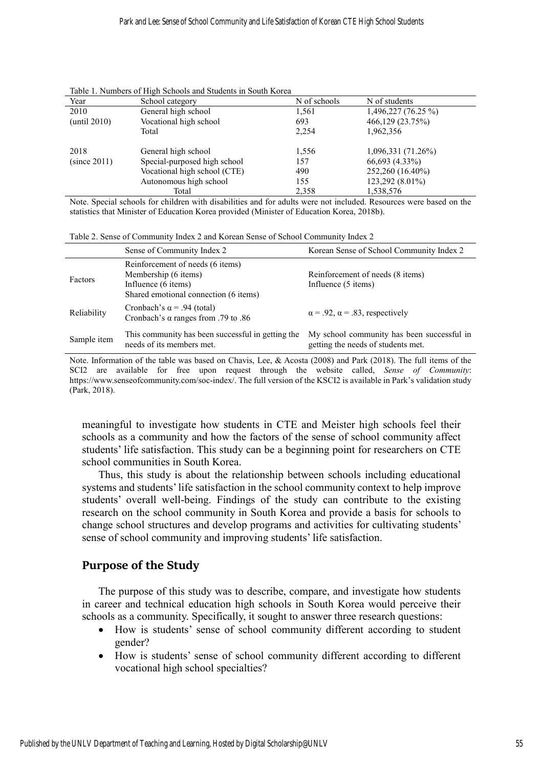| Year         | School category              | N of schools | N of students       |
|--------------|------------------------------|--------------|---------------------|
| 2010         | General high school          | 1,561        | 1,496,227 (76.25 %) |
| (until 2010) | Vocational high school       | 693          | 466,129 (23.75%)    |
|              | Total                        | 2,254        | 1,962,356           |
| 2018         | General high school          | 1,556        | 1,096,331 (71.26%)  |
| (since 2011) | Special-purposed high school | 157          | 66,693 (4.33%)      |
|              | Vocational high school (CTE) | 490          | 252,260 (16.40%)    |
|              | Autonomous high school       | 155          | 123,292 (8.01%)     |
|              | Total                        | 2,358        | 1,538,576           |

Table 1. Numbers of High Schools and Students in South Korea

Note. Special schools for children with disabilities and for adults were not included. Resources were based on the statistics that Minister of Education Korea provided (Minister of Education Korea, 2018b).

Table 2. Sense of Community Index 2 and Korean Sense of School Community Index 2

|             | Sense of Community Index 2                                                                                               | Korean Sense of School Community Index 2                                         |
|-------------|--------------------------------------------------------------------------------------------------------------------------|----------------------------------------------------------------------------------|
| Factors     | Reinforcement of needs (6 items)<br>Membership (6 items)<br>Influence (6 items)<br>Shared emotional connection (6 items) | Reinforcement of needs (8 items)<br>Influence (5 items)                          |
| Reliability | Cronbach's $\alpha$ = .94 (total)<br>Cronbach's $\alpha$ ranges from .79 to .86                                          | $\alpha$ = .92, $\alpha$ = .83, respectively                                     |
| Sample item | This community has been successful in getting the<br>needs of its members met.                                           | My school community has been successful in<br>getting the needs of students met. |

Note. Information of the table was based on Chavis, Lee, & Acosta (2008) and Park (2018). The full items of the SCI2 are available for free upon request through the website called, *Sense of Community*: [https://www.senseofcommunity.com/soc-index/.](https://www.senseofcommunity.com/soc-index/) The full version of the KSCI2 is available in Park's validation study (Park, 2018).

meaningful to investigate how students in CTE and Meister high schools feel their schools as a community and how the factors of the sense of school community affect students' life satisfaction. This study can be a beginning point for researchers on CTE school communities in South Korea.

Thus, this study is about the relationship between schools including educational systems and students' life satisfaction in the school community context to help improve students' overall well-being. Findings of the study can contribute to the existing research on the school community in South Korea and provide a basis for schools to change school structures and develop programs and activities for cultivating students' sense of school community and improving students' life satisfaction.

# **Purpose of the Study**

The purpose of this study was to describe, compare, and investigate how students in career and technical education high schools in South Korea would perceive their schools as a community. Specifically, it sought to answer three research questions:

- How is students' sense of school community different according to student gender?
- How is students' sense of school community different according to different vocational high school specialties?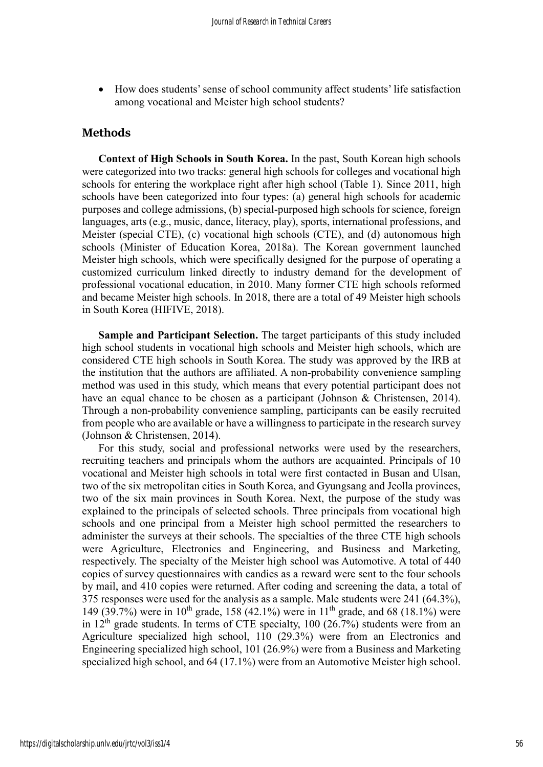• How does students' sense of school community affect students' life satisfaction among vocational and Meister high school students?

### **Methods**

**Context of High Schools in South Korea.** In the past, South Korean high schools were categorized into two tracks: general high schools for colleges and vocational high schools for entering the workplace right after high school (Table 1). Since 2011, high schools have been categorized into four types: (a) general high schools for academic purposes and college admissions, (b) special-purposed high schools for science, foreign languages, arts (e.g., music, dance, literacy, play), sports, international professions, and Meister (special CTE), (c) vocational high schools (CTE), and (d) autonomous high schools (Minister of Education Korea, 2018a). The Korean government launched Meister high schools, which were specifically designed for the purpose of operating a customized curriculum linked directly to industry demand for the development of professional vocational education, in 2010. Many former CTE high schools reformed and became Meister high schools. In 2018, there are a total of 49 Meister high schools in South Korea (HIFIVE, 2018).

**Sample and Participant Selection.** The target participants of this study included high school students in vocational high schools and Meister high schools, which are considered CTE high schools in South Korea. The study was approved by the IRB at the institution that the authors are affiliated. A non-probability convenience sampling method was used in this study, which means that every potential participant does not have an equal chance to be chosen as a participant (Johnson & Christensen, 2014). Through a non-probability convenience sampling, participants can be easily recruited from people who are available or have a willingness to participate in the research survey (Johnson & Christensen, 2014).

For this study, social and professional networks were used by the researchers, recruiting teachers and principals whom the authors are acquainted. Principals of 10 vocational and Meister high schools in total were first contacted in Busan and Ulsan, two of the six metropolitan cities in South Korea, and Gyungsang and Jeolla provinces, two of the six main provinces in South Korea. Next, the purpose of the study was explained to the principals of selected schools. Three principals from vocational high schools and one principal from a Meister high school permitted the researchers to administer the surveys at their schools. The specialties of the three CTE high schools were Agriculture, Electronics and Engineering, and Business and Marketing, respectively. The specialty of the Meister high school was Automotive. A total of 440 copies of survey questionnaires with candies as a reward were sent to the four schools by mail, and 410 copies were returned. After coding and screening the data, a total of 375 responses were used for the analysis as a sample. Male students were 241 (64.3%), 149 (39.7%) were in  $10^{th}$  grade, 158 (42.1%) were in  $11^{th}$  grade, and 68 (18.1%) were in  $12<sup>th</sup>$  grade students. In terms of CTE specialty, 100 (26.7%) students were from an Agriculture specialized high school, 110 (29.3%) were from an Electronics and Engineering specialized high school, 101 (26.9%) were from a Business and Marketing specialized high school, and 64 (17.1%) were from an Automotive Meister high school.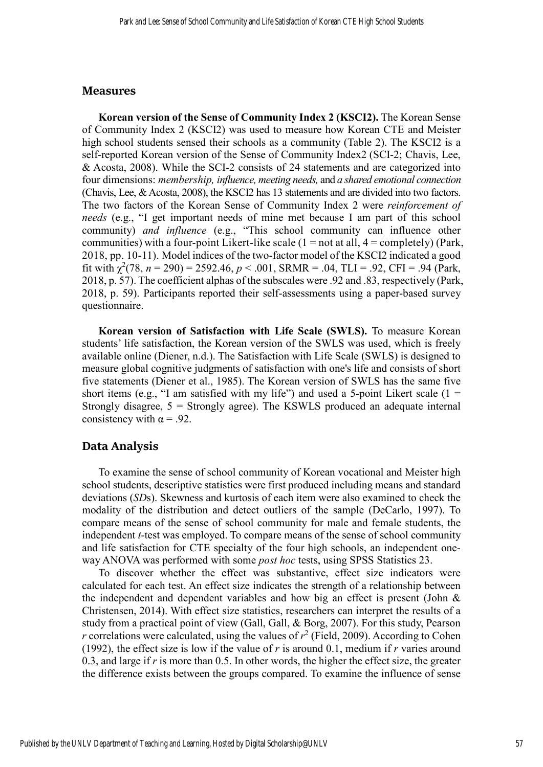#### **Measures**

**Korean version of the Sense of Community Index 2 (KSCI2).** The Korean Sense of Community Index 2 (KSCI2) was used to measure how Korean CTE and Meister high school students sensed their schools as a community (Table 2). The KSCI2 is a self-reported Korean version of the Sense of Community Index2 (SCI-2; Chavis, Lee, & Acosta, 2008). While the SCI-2 consists of 24 statements and are categorized into four dimensions: *membership, influence, meeting needs,* and *a shared emotional connection* (Chavis, Lee, & Acosta, 2008), the KSCI2 has 13 statements and are divided into two factors. The two factors of the Korean Sense of Community Index 2 were *reinforcement of needs* (e.g., "I get important needs of mine met because I am part of this school community) *and influence* (e.g., "This school community can influence other communities) with a four-point Likert-like scale  $(1 = not at all, 4 = completely)$  (Park, 2018, pp. 10-11). Model indices of the two-factor model of the KSCI2 indicated a good fit with  $\chi^2(78, n = 290) = 2592.46, p < .001$ , SRMR = .04, TLI = .92, CFI = .94 (Park, 2018, p. 57). The coefficient alphas of the subscales were .92 and .83, respectively (Park, 2018, p. 59). Participants reported their self-assessments using a paper-based survey questionnaire.

**Korean version of Satisfaction with Life Scale (SWLS).** To measure Korean students' life satisfaction, the Korean version of the SWLS was used, which is freely available online (Diener, n.d.). The Satisfaction with Life Scale (SWLS) is designed to measure global cognitive judgments of satisfaction with one's life and consists of short five statements (Diener et al., 1985). The Korean version of SWLS has the same five short items (e.g., "I am satisfied with my life") and used a 5-point Likert scale ( $1 =$ Strongly disagree,  $5 =$  Strongly agree). The KSWLS produced an adequate internal consistency with  $\alpha = .92$ .

# **Data Analysis**

To examine the sense of school community of Korean vocational and Meister high school students, descriptive statistics were first produced including means and standard deviations (*SD*s). Skewness and kurtosis of each item were also examined to check the modality of the distribution and detect outliers of the sample (DeCarlo, 1997). To compare means of the sense of school community for male and female students, the independent *t*-test was employed. To compare means of the sense of school community and life satisfaction for CTE specialty of the four high schools, an independent oneway ANOVA was performed with some *post hoc* tests, using SPSS Statistics 23.

To discover whether the effect was substantive, effect size indicators were calculated for each test. An effect size indicates the strength of a relationship between the independent and dependent variables and how big an effect is present (John & Christensen, 2014). With effect size statistics, researchers can interpret the results of a study from a practical point of view (Gall, Gall, & Borg, 2007). For this study, Pearson *r* correlations were calculated, using the values of  $r^2$  (Field, 2009). According to Cohen (1992), the effect size is low if the value of  $r$  is around 0.1, medium if  $r$  varies around 0.3, and large if *r* is more than 0.5. In other words, the higher the effect size, the greater the difference exists between the groups compared. To examine the influence of sense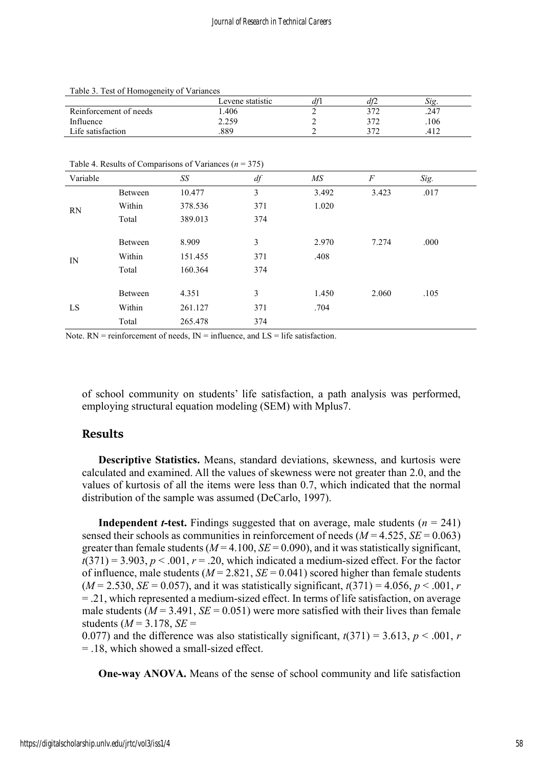|                        | Levene statistic | df1 | atz  | 512. |
|------------------------|------------------|-----|------|------|
| Reinforcement of needs | .406             |     | רי ר | .247 |
| Influence              | 2.259            |     | רי ר | .106 |
| Life satisfaction      | 889              |     | רי ר |      |

Table 3. Test of Homogeneity of Variances

Table 4. Results of Comparisons of Variances (*n* = 375)

| Variable |         | SS      | df  | МS    | $\boldsymbol{F}$ | Sig. |
|----------|---------|---------|-----|-------|------------------|------|
| RN       | Between | 10.477  | 3   | 3.492 | 3.423            | .017 |
|          | Within  | 378.536 | 371 | 1.020 |                  |      |
|          | Total   | 389.013 | 374 |       |                  |      |
|          |         |         |     |       |                  |      |
|          | Between | 8.909   | 3   | 2.970 | 7.274            | .000 |
| IN       | Within  | 151.455 | 371 | .408  |                  |      |
|          | Total   | 160.364 | 374 |       |                  |      |
|          |         |         |     |       |                  |      |
| LS       | Between | 4.351   | 3   | 1.450 | 2.060            | .105 |
|          | Within  | 261.127 | 371 | .704  |                  |      |
|          | Total   | 265.478 | 374 |       |                  |      |

Note.  $RN =$  reinforcement of needs,  $IN =$  influence, and  $LS =$  life satisfaction.

of school community on students' life satisfaction, a path analysis was performed, employing structural equation modeling (SEM) with Mplus7.

# **Results**

**Descriptive Statistics.** Means, standard deviations, skewness, and kurtosis were calculated and examined. All the values of skewness were not greater than 2.0, and the values of kurtosis of all the items were less than 0.7, which indicated that the normal distribution of the sample was assumed (DeCarlo, 1997).

**Independent** *t***-test.** Findings suggested that on average, male students  $(n = 241)$ sensed their schools as communities in reinforcement of needs  $(M = 4.525, SE = 0.063)$ greater than female students  $(M = 4.100, SE = 0.090)$ , and it was statistically significant,  $t(371) = 3.903$ ,  $p < .001$ ,  $r = .20$ , which indicated a medium-sized effect. For the factor of influence, male students  $(M = 2.821, SE = 0.041)$  scored higher than female students  $(M = 2.530, SE = 0.057)$ , and it was statistically significant,  $t(371) = 4.056, p < .001, r$ = .21, which represented a medium-sized effect. In terms of life satisfaction, on average male students ( $M = 3.491$ ,  $SE = 0.051$ ) were more satisfied with their lives than female students  $(M = 3.178, SE =$ 

0.077) and the difference was also statistically significant,  $t(371) = 3.613$ ,  $p < .001$ , *r* = .18, which showed a small-sized effect.

**One-way ANOVA.** Means of the sense of school community and life satisfaction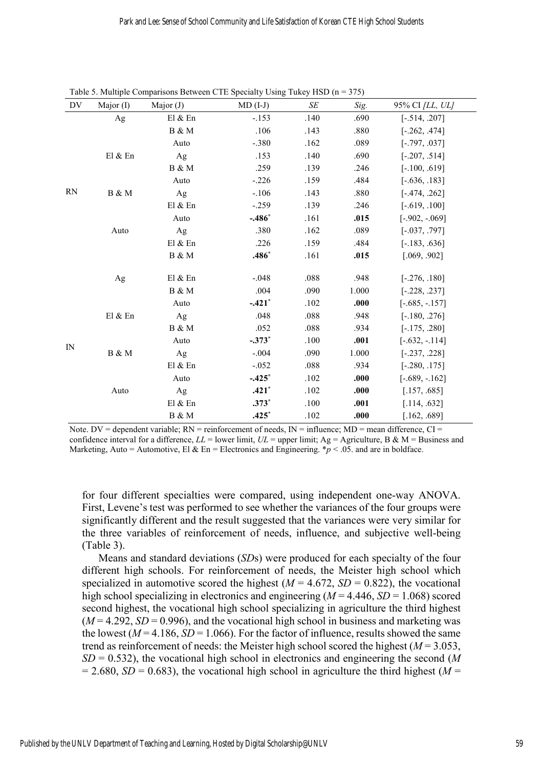| DV          | Major $(I)$ | Major $(J)$ | $MD (I-J)$ | SE   | Sig.  | 95% CI [LL, UL]  |
|-------------|-------------|-------------|------------|------|-------|------------------|
|             | Ag          | El & En     | $-.153$    | .140 | .690  | $[-.514, .207]$  |
|             |             | B & M       | .106       | .143 | .880  | $[-.262, .474]$  |
|             |             | Auto        | $-.380$    | .162 | .089  | $[-.797, .037]$  |
|             | El & En     | Ag          | .153       | .140 | .690  | $[-.207, .514]$  |
|             |             | B & M       | .259       | .139 | .246  | $[-.100, .619]$  |
|             |             | Auto        | $-.226$    | .159 | .484  | $[-.636, .183]$  |
| <b>RN</b>   | B & M       | Ag          | $-.106$    | .143 | .880  | $[-.474, .262]$  |
|             |             | El & En     | $-.259$    | .139 | .246  | $[-.619, .100]$  |
|             |             | Auto        | $-.486*$   | .161 | .015  | $[-.902, -069]$  |
|             | Auto        | Ag          | .380       | .162 | .089  | $[-.037, .797]$  |
|             |             | El & En     | .226       | .159 | .484  | $[-.183, .636]$  |
|             |             | B & M       | $.486*$    | .161 | .015  | [.069, .902]     |
|             | Ag          | El & En     | $-.048$    | .088 | .948  | $[-.276, .180]$  |
|             |             | B & M       | .004       | .090 | 1.000 | $[-.228, .237]$  |
|             |             | Auto        | $-.421"$   | .102 | .000  | $[-.685, -.157]$ |
|             | El $&$ En   | Ag          | .048       | .088 | .948  | $[-.180, .276]$  |
|             |             | B & M       | .052       | .088 | .934  | $[-.175, .280]$  |
|             |             | Auto        | $-.373*$   | .100 | .001  | $[-.632, -.114]$ |
| $_{\rm IN}$ | B & M       | Ag          | $-.004$    | .090 | 1.000 | $[-.237, .228]$  |
|             |             | E1 & En     | $-.052$    | .088 | .934  | $[-.280, .175]$  |
|             |             | Auto        | $-.425*$   | .102 | .000  | $[-.689, -.162]$ |
|             | Auto        | Ag          | $.421*$    | .102 | .000  | [.157, .685]     |
|             |             | El & En     | $.373*$    | .100 | .001  | [.114, .632]     |
|             |             | B & M       | $.425*$    | .102 | .000  | [.162, .689]     |

Table 5. Multiple Comparisons Between CTE Specialty Using Tukey HSD ( $n = 375$ )

Note. DV = dependent variable;  $RN =$  reinforcement of needs,  $IN =$  influence;  $MD =$  mean difference,  $CI =$ confidence interval for a difference,  $LL$  = lower limit,  $UL$  = upper limit;  $Ag$  = Agriculture, B & M = Business and Marketing, Auto = Automotive, El & En = Electronics and Engineering.  $p < .05$  and are in boldface.

for four different specialties were compared, using independent one-way ANOVA. First, Levene's test was performed to see whether the variances of the four groups were significantly different and the result suggested that the variances were very similar for the three variables of reinforcement of needs, influence, and subjective well-being (Table 3).

Means and standard deviations (*SD*s) were produced for each specialty of the four different high schools. For reinforcement of needs, the Meister high school which specialized in automotive scored the highest  $(M = 4.672, SD = 0.822)$ , the vocational high school specializing in electronics and engineering ( $M = 4.446$ ,  $SD = 1.068$ ) scored second highest, the vocational high school specializing in agriculture the third highest  $(M = 4.292, SD = 0.996)$ , and the vocational high school in business and marketing was the lowest ( $M = 4.186$ ,  $SD = 1.066$ ). For the factor of influence, results showed the same trend as reinforcement of needs: the Meister high school scored the highest  $(M = 3.053$ ,  $SD = 0.532$ ), the vocational high school in electronics and engineering the second (*M*  $= 2.680$ , *SD* = 0.683), the vocational high school in agriculture the third highest (*M* =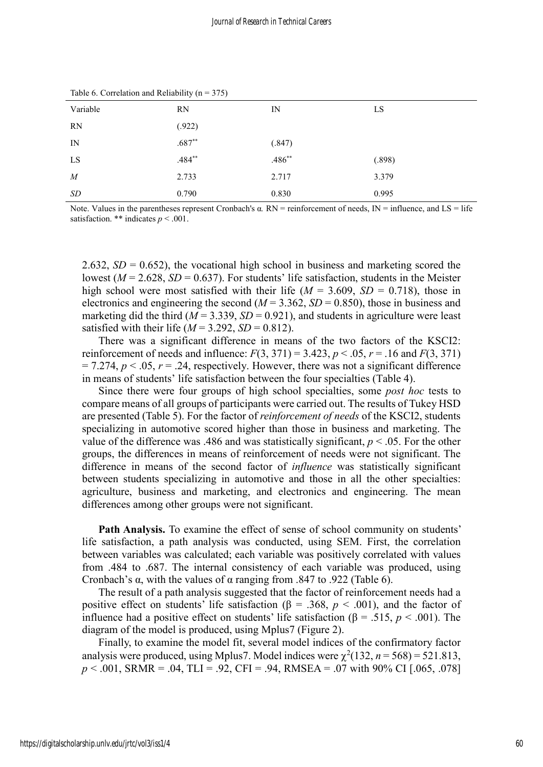| Variable | <b>RN</b> | $_{\rm IN}$ | LS     |
|----------|-----------|-------------|--------|
| RN       | (.922)    |             |        |
| IN       | $.687**$  | (.847)      |        |
| LS       | $.484***$ | $.486**$    | (.898) |
| M        | 2.733     | 2.717       | 3.379  |
| SD       | 0.790     | 0.830       | 0.995  |

Table 6. Correlation and Reliability ( $n = 375$ )

Note. Values in the parentheses represent Cronbach's α*.* RN = reinforcement of needs, IN = influence, and LS = life satisfaction. \*\* indicates  $p < .001$ .

2.632,  $SD = 0.652$ ), the vocational high school in business and marketing scored the lowest ( $M = 2.628$ ,  $SD = 0.637$ ). For students' life satisfaction, students in the Meister high school were most satisfied with their life ( $M = 3.609$ ,  $SD = 0.718$ ), those in electronics and engineering the second ( $M = 3.362$ ,  $SD = 0.850$ ), those in business and marketing did the third ( $M = 3.339$ ,  $SD = 0.921$ ), and students in agriculture were least satisfied with their life ( $M = 3.292$ ,  $SD = 0.812$ ).

There was a significant difference in means of the two factors of the KSCI2: reinforcement of needs and influence:  $F(3, 371) = 3.423$ ,  $p < .05$ ,  $r = .16$  and  $F(3, 371)$  $= 7.274$ ,  $p < 0.05$ ,  $r = 0.24$ , respectively. However, there was not a significant difference in means of students' life satisfaction between the four specialties (Table 4).

Since there were four groups of high school specialties, some *post hoc* tests to compare means of all groups of participants were carried out. The results of Tukey HSD are presented (Table 5). For the factor of *reinforcement of needs* of the KSCI2, students specializing in automotive scored higher than those in business and marketing. The value of the difference was .486 and was statistically significant,  $p < .05$ . For the other groups, the differences in means of reinforcement of needs were not significant. The difference in means of the second factor of *influence* was statistically significant between students specializing in automotive and those in all the other specialties: agriculture, business and marketing, and electronics and engineering. The mean differences among other groups were not significant.

**Path Analysis.** To examine the effect of sense of school community on students' life satisfaction, a path analysis was conducted, using SEM. First, the correlation between variables was calculated; each variable was positively correlated with values from .484 to .687. The internal consistency of each variable was produced, using Cronbach's α, with the values of α ranging from .847 to .922 (Table 6).

The result of a path analysis suggested that the factor of reinforcement needs had a positive effect on students' life satisfaction ( $\beta$  = .368,  $p < .001$ ), and the factor of influence had a positive effect on students' life satisfaction ( $\beta$  = .515, *p* < .001). The diagram of the model is produced, using Mplus7 (Figure 2).

Finally, to examine the model fit, several model indices of the confirmatory factor analysis were produced, using Mplus7. Model indices were  $\chi^2(132, n = 568) = 521.813$ , *p* < .001, SRMR = .04, TLI = .92, CFI = .94, RMSEA = .07 with 90% CI [.065, .078]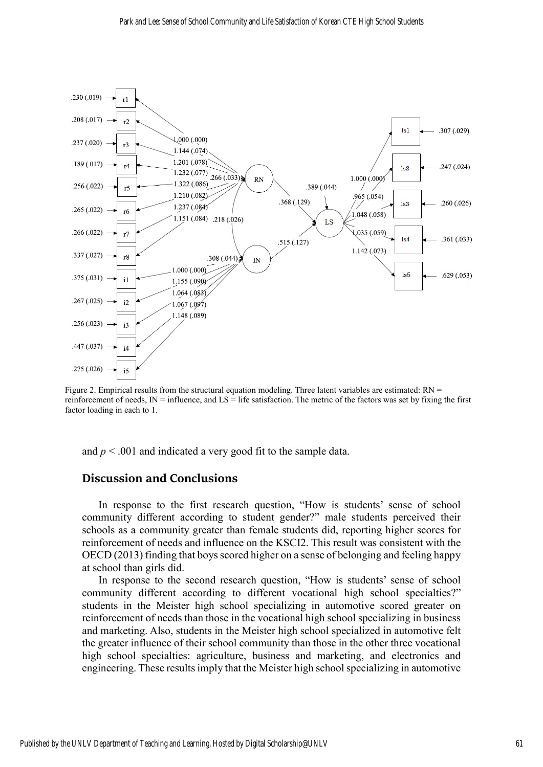

Figure 2. Empirical results from the structural equation modeling. Three latent variables are estimated: RN = reinforcement of needs,  $IN =$  influence, and  $LS =$  life satisfaction. The metric of the factors was set by fixing the first factor loading in each to 1.

and  $p < .001$  and indicated a very good fit to the sample data.

#### **Discussion and Conclusions**

In response to the first research question, "How is students' sense of school community different according to student gender?" male students perceived their schools as a community greater than female students did, reporting higher scores for reinforcement of needs and influence on the KSCI2. This result was consistent with the OECD (2013) finding that boys scored higher on a sense of belonging and feeling happy at school than girls did.

In response to the second research question, "How is students' sense of school community different according to different vocational high school specialties?" students in the Meister high school specializing in automotive scored greater on reinforcement of needs than those in the vocational high school specializing in business and marketing. Also, students in the Meister high school specialized in automotive felt the greater influence of their school community than those in the other three vocational high school specialties: agriculture, business and marketing, and electronics and engineering. These results imply that the Meister high school specializing in automotive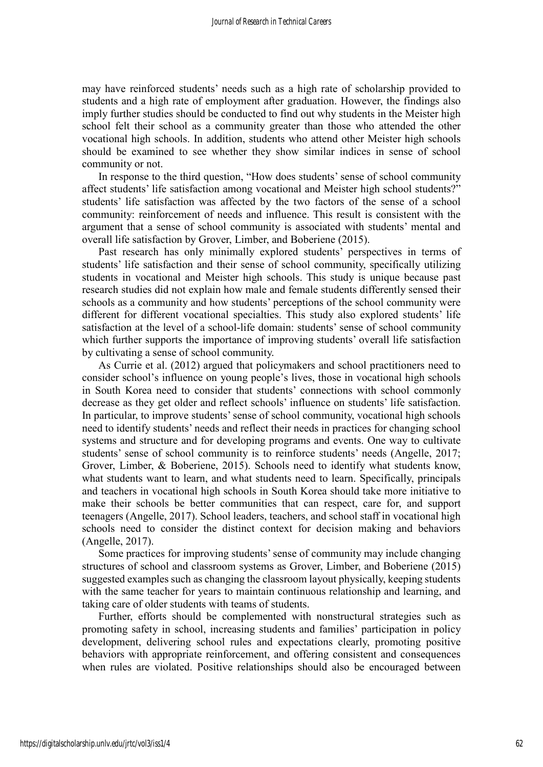may have reinforced students' needs such as a high rate of scholarship provided to students and a high rate of employment after graduation. However, the findings also imply further studies should be conducted to find out why students in the Meister high school felt their school as a community greater than those who attended the other vocational high schools. In addition, students who attend other Meister high schools should be examined to see whether they show similar indices in sense of school community or not.

In response to the third question, "How does students' sense of school community affect students' life satisfaction among vocational and Meister high school students?" students' life satisfaction was affected by the two factors of the sense of a school community: reinforcement of needs and influence. This result is consistent with the argument that a sense of school community is associated with students' mental and overall life satisfaction by Grover, Limber, and Boberiene (2015).

Past research has only minimally explored students' perspectives in terms of students' life satisfaction and their sense of school community, specifically utilizing students in vocational and Meister high schools. This study is unique because past research studies did not explain how male and female students differently sensed their schools as a community and how students' perceptions of the school community were different for different vocational specialties. This study also explored students' life satisfaction at the level of a school-life domain: students' sense of school community which further supports the importance of improving students' overall life satisfaction by cultivating a sense of school community.

As Currie et al. (2012) argued that policymakers and school practitioners need to consider school's influence on young people's lives, those in vocational high schools in South Korea need to consider that students' connections with school commonly decrease as they get older and reflect schools' influence on students' life satisfaction. In particular, to improve students' sense of school community, vocational high schools need to identify students' needs and reflect their needs in practices for changing school systems and structure and for developing programs and events. One way to cultivate students' sense of school community is to reinforce students' needs (Angelle, 2017; Grover, Limber, & Boberiene, 2015). Schools need to identify what students know, what students want to learn, and what students need to learn. Specifically, principals and teachers in vocational high schools in South Korea should take more initiative to make their schools be better communities that can respect, care for, and support teenagers (Angelle, 2017). School leaders, teachers, and school staff in vocational high schools need to consider the distinct context for decision making and behaviors (Angelle, 2017).

Some practices for improving students' sense of community may include changing structures of school and classroom systems as Grover, Limber, and Boberiene (2015) suggested examples such as changing the classroom layout physically, keeping students with the same teacher for years to maintain continuous relationship and learning, and taking care of older students with teams of students.

Further, efforts should be complemented with nonstructural strategies such as promoting safety in school, increasing students and families' participation in policy development, delivering school rules and expectations clearly, promoting positive behaviors with appropriate reinforcement, and offering consistent and consequences when rules are violated. Positive relationships should also be encouraged between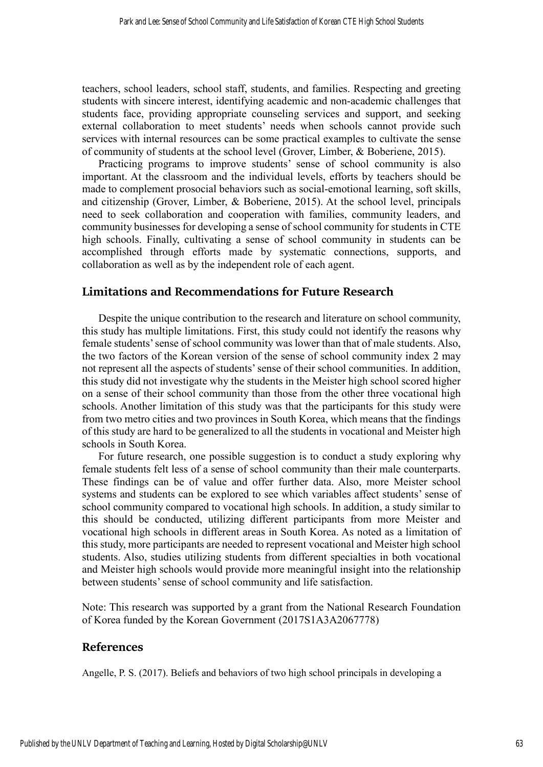teachers, school leaders, school staff, students, and families. Respecting and greeting students with sincere interest, identifying academic and non-academic challenges that students face, providing appropriate counseling services and support, and seeking external collaboration to meet students' needs when schools cannot provide such services with internal resources can be some practical examples to cultivate the sense of community of students at the school level (Grover, Limber, & Boberiene, 2015).

Practicing programs to improve students' sense of school community is also important. At the classroom and the individual levels, efforts by teachers should be made to complement prosocial behaviors such as social-emotional learning, soft skills, and citizenship (Grover, Limber, & Boberiene, 2015). At the school level, principals need to seek collaboration and cooperation with families, community leaders, and community businesses for developing a sense of school community for students in CTE high schools. Finally, cultivating a sense of school community in students can be accomplished through efforts made by systematic connections, supports, and collaboration as well as by the independent role of each agent.

# **Limitations and Recommendations for Future Research**

Despite the unique contribution to the research and literature on school community, this study has multiple limitations. First, this study could not identify the reasons why female students' sense of school community was lower than that of male students. Also, the two factors of the Korean version of the sense of school community index 2 may not represent all the aspects of students' sense of their school communities. In addition, this study did not investigate why the students in the Meister high school scored higher on a sense of their school community than those from the other three vocational high schools. Another limitation of this study was that the participants for this study were from two metro cities and two provinces in South Korea, which means that the findings of this study are hard to be generalized to all the students in vocational and Meister high schools in South Korea.

For future research, one possible suggestion is to conduct a study exploring why female students felt less of a sense of school community than their male counterparts. These findings can be of value and offer further data. Also, more Meister school systems and students can be explored to see which variables affect students' sense of school community compared to vocational high schools. In addition, a study similar to this should be conducted, utilizing different participants from more Meister and vocational high schools in different areas in South Korea. As noted as a limitation of this study, more participants are needed to represent vocational and Meister high school students. Also, studies utilizing students from different specialties in both vocational and Meister high schools would provide more meaningful insight into the relationship between students' sense of school community and life satisfaction.

Note: This research was supported by a grant from the National Research Foundation of Korea funded by the Korean Government (2017S1A3A2067778)

### **References**

Angelle, P. S. (2017). Beliefs and behaviors of two high school principals in developing a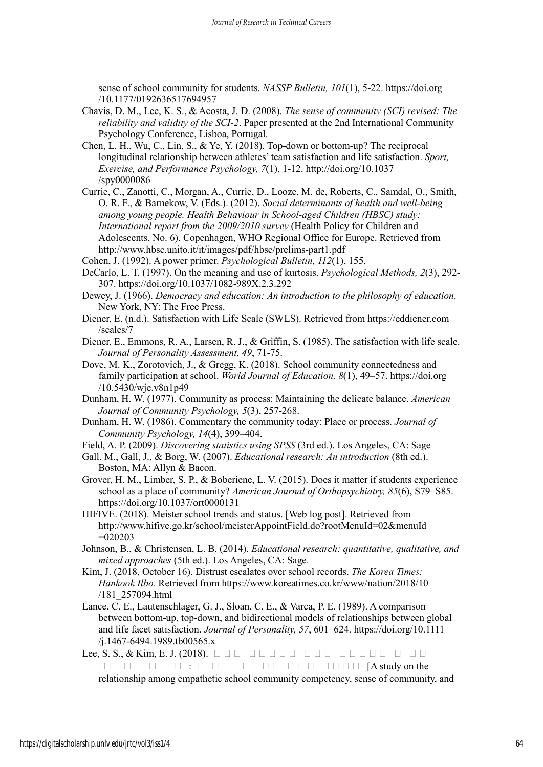sense of school community for students. *NASSP Bulletin, 101*(1), 5-22. https://doi.org /10.1177/0192636517694957

- Chavis, D. M., Lee, K. S., & Acosta, J. D. (2008). *The sense of community (SCI) revised: The reliability and validity of the SCI-2*. Paper presented at the 2nd International Community Psychology Conference, Lisboa, Portugal.
- Chen, L. H., Wu, C., Lin, S., & Ye, Y. (2018). Top-down or bottom-up? The reciprocal longitudinal relationship between athletes' team satisfaction and life satisfaction. *Sport, Exercise, and Performance Psychology, 7*(1), 1-12. http://doi.org/10.1037 /spy0000086
- Currie, C., Zanotti, C., Morgan, A., Currie, D., Looze, M. de, Roberts, C., Samdal, O., Smith, O. R. F., & Barnekow, V. (Eds.). (2012). *Social determinants of health and well-being among young people. Health Behaviour in School-aged Children (HBSC) study: International report from the 2009/2010 survey* (Health Policy for Children and Adolescents, No. 6). Copenhagen, WHO Regional Office for Europe. Retrieved from http://www.hbsc.unito.it/it/images/pdf/hbsc/prelims-part1.pdf
- Cohen, J. (1992). A power primer. *Psychological Bulletin, 112*(1), 155.
- DeCarlo, L. T. (1997). On the meaning and use of kurtosis. *Psychological Methods, 2*(3), 292- 307. https://doi.org/10.1037/1082-989X.2.3.292
- Dewey, J. (1966). *Democracy and education: An introduction to the philosophy of education*. New York, NY: The Free Press.
- Diener, E. (n.d.). Satisfaction with Life Scale (SWLS). Retrieved from https://eddiener.com /scales/7
- Diener, E., Emmons, R. A., Larsen, R. J., & Griffin, S. (1985). The satisfaction with life scale. *Journal of Personality Assessment, 49*, 71-75.
- Dove, M. K., Zorotovich, J., & Gregg, K. (2018). School community connectedness and family participation at school. *World Journal of Education, 8*(1), 49–57. https://doi.org /10.5430/wje.v8n1p49
- Dunham, H. W. (1977). Community as process: Maintaining the delicate balance. *American Journal of Community Psychology, 5*(3), 257-268.
- Dunham, H. W. (1986). Commentary the community today: Place or process. *Journal of Community Psychology, 14*(4), 399–404.
- Field, A. P. (2009). *Discovering statistics using SPSS* (3rd ed.). Los Angeles, CA: Sage
- Gall, M., Gall, J., & Borg, W. (2007). *Educational research: An introduction* (8th ed.). Boston, MA: Allyn & Bacon.
- Grover, H. M., Limber, S. P., & Boberiene, L. V. (2015). Does it matter if students experience school as a place of community? *American Journal of Orthopsychiatry, 85*(6), S79–S85. https://doi.org/10.1037/ort0000131
- HIFIVE. (2018). Meister school trends and status. [Web log post]. Retrieved from http://www.hifive.go.kr/school/meisterAppointField.do?rootMenuId=02&menuId  $=020203$
- Johnson, B., & Christensen, L. B. (2014). *Educational research: quantitative, qualitative, and mixed approaches* (5th ed.). Los Angeles, CA: Sage.
- Kim, J. (2018, October 16). Distrust escalates over school records. *The Korea Times: Hankook Ilbo.* Retrieved from https://www.koreatimes.co.kr/www/nation/2018/10 /181\_257094.html
- Lance, C. E., Lautenschlager, G. J., Sloan, C. E., & Varca, P. E. (1989). A comparison between bottom-up, top-down, and bidirectional models of relationships between global and life facet satisfaction. *Journal of Personality, 57*, 601–624. https://doi.org/10.1111 /j.1467-6494.1989.tb00565.x
- Lee, S. S., & Kim, E. J. (2018).  $\Box$ 만족도의 관계 연구 : 일반고와 특성화고 학생을 중심으로 [A study on the relationship among empathetic school community competency, sense of community, and